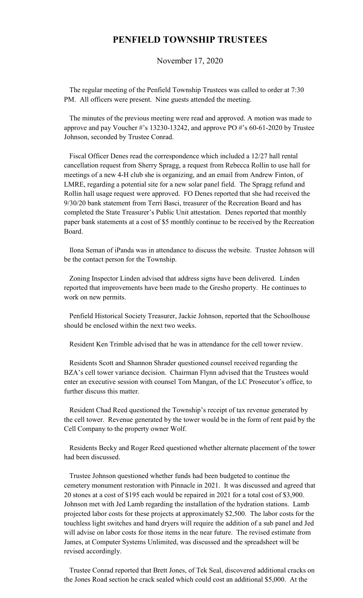## **PENFIELD TOWNSHIP TRUSTEES**

November 17, 2020

 The regular meeting of the Penfield Township Trustees was called to order at 7:30 PM. All officers were present. Nine guests attended the meeting.

 The minutes of the previous meeting were read and approved. A motion was made to approve and pay Voucher #'s 13230-13242, and approve PO #'s 60-61-2020 by Trustee Johnson, seconded by Trustee Conrad.

 Fiscal Officer Denes read the correspondence which included a 12/27 hall rental cancellation request from Sherry Spragg, a request from Rebecca Rollin to use hall for meetings of a new 4-H club she is organizing, and an email from Andrew Finton, of LMRE, regarding a potential site for a new solar panel field. The Spragg refund and Rollin hall usage request were approved. FO Denes reported that she had received the 9/30/20 bank statement from Terri Basci, treasurer of the Recreation Board and has completed the State Treasurer's Public Unit attestation. Denes reported that monthly paper bank statements at a cost of \$5 monthly continue to be received by the Recreation Board.

 Ilona Seman of iPanda was in attendance to discuss the website. Trustee Johnson will be the contact person for the Township.

 Zoning Inspector Linden advised that address signs have been delivered. Linden reported that improvements have been made to the Gresho property. He continues to work on new permits.

 Penfield Historical Society Treasurer, Jackie Johnson, reported that the Schoolhouse should be enclosed within the next two weeks.

Resident Ken Trimble advised that he was in attendance for the cell tower review.

 Residents Scott and Shannon Shrader questioned counsel received regarding the BZA's cell tower variance decision. Chairman Flynn advised that the Trustees would enter an executive session with counsel Tom Mangan, of the LC Prosecutor's office, to further discuss this matter.

 Resident Chad Reed questioned the Township's receipt of tax revenue generated by the cell tower. Revenue generated by the tower would be in the form of rent paid by the Cell Company to the property owner Wolf.

 Residents Becky and Roger Reed questioned whether alternate placement of the tower had been discussed.

 Trustee Johnson questioned whether funds had been budgeted to continue the cemetery monument restoration with Pinnacle in 2021. It was discussed and agreed that 20 stones at a cost of \$195 each would be repaired in 2021 for a total cost of \$3,900. Johnson met with Jed Lamb regarding the installation of the hydration stations. Lamb projected labor costs for these projects at approximately \$2,500. The labor costs for the touchless light switches and hand dryers will require the addition of a sub panel and Jed will advise on labor costs for those items in the near future. The revised estimate from James, at Computer Systems Unlimited, was discussed and the spreadsheet will be revised accordingly.

 Trustee Conrad reported that Brett Jones, of Tek Seal, discovered additional cracks on the Jones Road section he crack sealed which could cost an additional \$5,000. At the